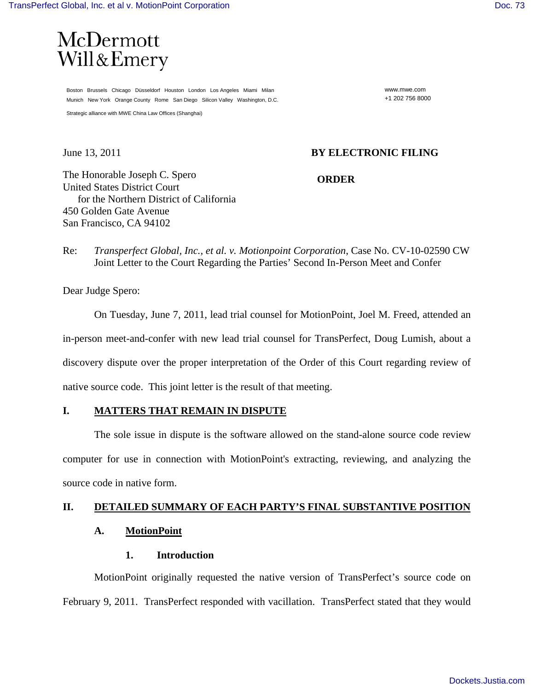

Boston Brussels Chicago Düsseldorf Houston London Los Angeles Miami Milan Munich New York Orange County Rome San Diego Silicon Valley Washington, D.C.

Strategic alliance with MWE China Law Offices (Shanghai)

www.mwe.com +1 202 756 8000

## June 13, 2011 **BY ELECTRONIC FILING**

The Honorable Joseph C. Spero United States District Court for the Northern District of California 450 Golden Gate Avenue San Francisco, CA 94102

## **ORDER**

Re: *Transperfect Global, Inc., et al. v. Motionpoint Corporation*, Case No. CV-10-02590 CW Joint Letter to the Court Regarding the Parties' Second In-Person Meet and Confer

Dear Judge Spero:

 On Tuesday, June 7, 2011, lead trial counsel for MotionPoint, Joel M. Freed, attended an in-person meet-and-confer with new lead trial counsel for TransPerfect, Doug Lumish, about a discovery dispute over the proper interpretation of the Order of this Court regarding review of native source code. This joint letter is the result of that meeting.

### **I. MATTERS THAT REMAIN IN DISPUTE**

 The sole issue in dispute is the software allowed on the stand-alone source code review computer for use in connection with MotionPoint's extracting, reviewing, and analyzing the source code in native form.

# **II. DETAILED SUMMARY OF EACH PARTY'S FINAL SUBSTANTIVE POSITION**

## **A. MotionPoint**

## **1. Introduction**

 MotionPoint originally requested the native version of TransPerfect's source code on February 9, 2011. TransPerfect responded with vacillation. TransPerfect stated that they would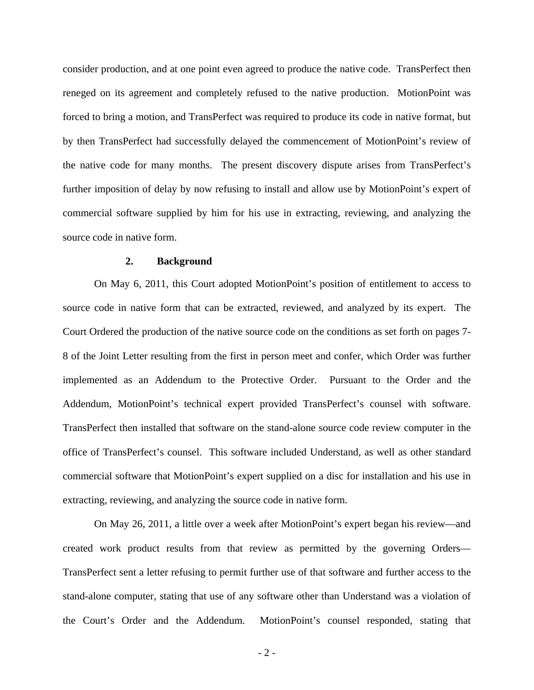consider production, and at one point even agreed to produce the native code. TransPerfect then reneged on its agreement and completely refused to the native production. MotionPoint was forced to bring a motion, and TransPerfect was required to produce its code in native format, but by then TransPerfect had successfully delayed the commencement of MotionPoint's review of the native code for many months. The present discovery dispute arises from TransPerfect's further imposition of delay by now refusing to install and allow use by MotionPoint's expert of commercial software supplied by him for his use in extracting, reviewing, and analyzing the source code in native form.

#### **2. Background**

 On May 6, 2011, this Court adopted MotionPoint's position of entitlement to access to source code in native form that can be extracted, reviewed, and analyzed by its expert. The Court Ordered the production of the native source code on the conditions as set forth on pages 7- 8 of the Joint Letter resulting from the first in person meet and confer, which Order was further implemented as an Addendum to the Protective Order. Pursuant to the Order and the Addendum, MotionPoint's technical expert provided TransPerfect's counsel with software. TransPerfect then installed that software on the stand-alone source code review computer in the office of TransPerfect's counsel. This software included Understand, as well as other standard commercial software that MotionPoint's expert supplied on a disc for installation and his use in extracting, reviewing, and analyzing the source code in native form.

 On May 26, 2011, a little over a week after MotionPoint's expert began his review—and created work product results from that review as permitted by the governing Orders— TransPerfect sent a letter refusing to permit further use of that software and further access to the stand-alone computer, stating that use of any software other than Understand was a violation of the Court's Order and the Addendum. MotionPoint's counsel responded, stating that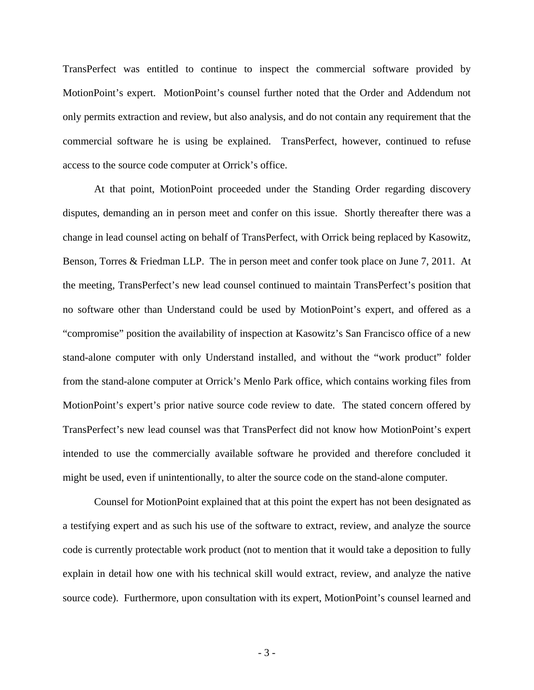TransPerfect was entitled to continue to inspect the commercial software provided by MotionPoint's expert. MotionPoint's counsel further noted that the Order and Addendum not only permits extraction and review, but also analysis, and do not contain any requirement that the commercial software he is using be explained. TransPerfect, however, continued to refuse access to the source code computer at Orrick's office.

 At that point, MotionPoint proceeded under the Standing Order regarding discovery disputes, demanding an in person meet and confer on this issue. Shortly thereafter there was a change in lead counsel acting on behalf of TransPerfect, with Orrick being replaced by Kasowitz, Benson, Torres & Friedman LLP. The in person meet and confer took place on June 7, 2011. At the meeting, TransPerfect's new lead counsel continued to maintain TransPerfect's position that no software other than Understand could be used by MotionPoint's expert, and offered as a "compromise" position the availability of inspection at Kasowitz's San Francisco office of a new stand-alone computer with only Understand installed, and without the "work product" folder from the stand-alone computer at Orrick's Menlo Park office, which contains working files from MotionPoint's expert's prior native source code review to date. The stated concern offered by TransPerfect's new lead counsel was that TransPerfect did not know how MotionPoint's expert intended to use the commercially available software he provided and therefore concluded it might be used, even if unintentionally, to alter the source code on the stand-alone computer.

 Counsel for MotionPoint explained that at this point the expert has not been designated as a testifying expert and as such his use of the software to extract, review, and analyze the source code is currently protectable work product (not to mention that it would take a deposition to fully explain in detail how one with his technical skill would extract, review, and analyze the native source code). Furthermore, upon consultation with its expert, MotionPoint's counsel learned and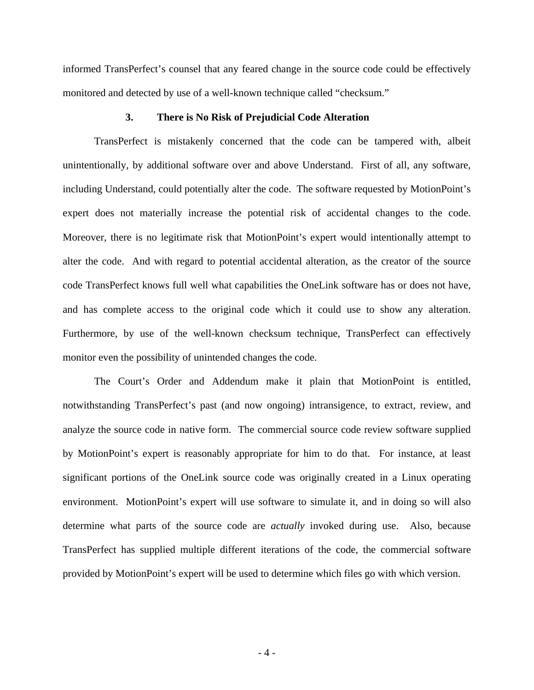informed TransPerfect's counsel that any feared change in the source code could be effectively monitored and detected by use of a well-known technique called "checksum."

#### **3. There is No Risk of Prejudicial Code Alteration**

TransPerfect is mistakenly concerned that the code can be tampered with, albeit unintentionally, by additional software over and above Understand. First of all, any software, including Understand, could potentially alter the code. The software requested by MotionPoint's expert does not materially increase the potential risk of accidental changes to the code. Moreover, there is no legitimate risk that MotionPoint's expert would intentionally attempt to alter the code. And with regard to potential accidental alteration, as the creator of the source code TransPerfect knows full well what capabilities the OneLink software has or does not have, and has complete access to the original code which it could use to show any alteration. Furthermore, by use of the well-known checksum technique, TransPerfect can effectively monitor even the possibility of unintended changes the code.

The Court's Order and Addendum make it plain that MotionPoint is entitled, notwithstanding TransPerfect's past (and now ongoing) intransigence, to extract, review, and analyze the source code in native form. The commercial source code review software supplied by MotionPoint's expert is reasonably appropriate for him to do that. For instance, at least significant portions of the OneLink source code was originally created in a Linux operating environment. MotionPoint's expert will use software to simulate it, and in doing so will also determine what parts of the source code are *actually* invoked during use. Also, because TransPerfect has supplied multiple different iterations of the code, the commercial software provided by MotionPoint's expert will be used to determine which files go with which version.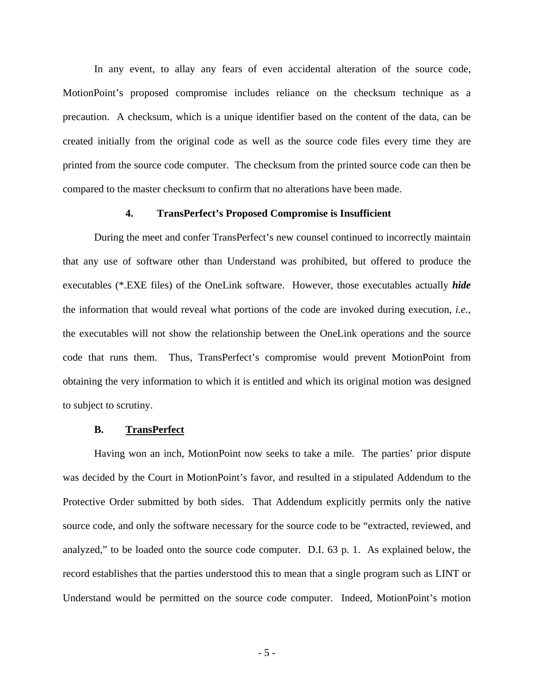In any event, to allay any fears of even accidental alteration of the source code, MotionPoint's proposed compromise includes reliance on the checksum technique as a precaution. A checksum, which is a unique identifier based on the content of the data, can be created initially from the original code as well as the source code files every time they are printed from the source code computer. The checksum from the printed source code can then be compared to the master checksum to confirm that no alterations have been made.

### **4. TransPerfect's Proposed Compromise is Insufficient**

During the meet and confer TransPerfect's new counsel continued to incorrectly maintain that any use of software other than Understand was prohibited, but offered to produce the executables (\*.EXE files) of the OneLink software. However, those executables actually *hide* the information that would reveal what portions of the code are invoked during execution, *i.e.*, the executables will not show the relationship between the OneLink operations and the source code that runs them. Thus, TransPerfect's compromise would prevent MotionPoint from obtaining the very information to which it is entitled and which its original motion was designed to subject to scrutiny.

#### **B. TransPerfect**

Having won an inch, MotionPoint now seeks to take a mile. The parties' prior dispute was decided by the Court in MotionPoint's favor, and resulted in a stipulated Addendum to the Protective Order submitted by both sides. That Addendum explicitly permits only the native source code, and only the software necessary for the source code to be "extracted, reviewed, and analyzed," to be loaded onto the source code computer. D.I. 63 p. 1. As explained below, the record establishes that the parties understood this to mean that a single program such as LINT or Understand would be permitted on the source code computer. Indeed, MotionPoint's motion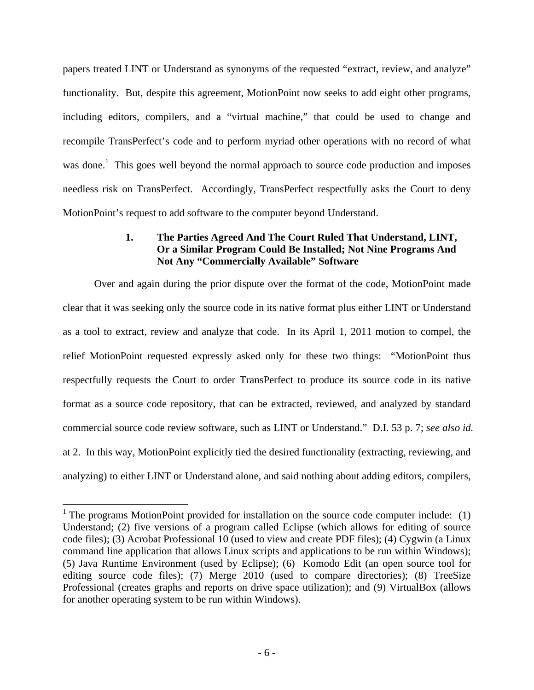papers treated LINT or Understand as synonyms of the requested "extract, review, and analyze" functionality. But, despite this agreement, MotionPoint now seeks to add eight other programs, including editors, compilers, and a "virtual machine," that could be used to change and recompile TransPerfect's code and to perform myriad other operations with no record of what was done.<sup>1</sup> This goes well beyond the normal approach to source code production and imposes needless risk on TransPerfect. Accordingly, TransPerfect respectfully asks the Court to deny MotionPoint's request to add software to the computer beyond Understand.

# **1. The Parties Agreed And The Court Ruled That Understand, LINT, Or a Similar Program Could Be Installed; Not Nine Programs And Not Any "Commercially Available" Software**

Over and again during the prior dispute over the format of the code, MotionPoint made clear that it was seeking only the source code in its native format plus either LINT or Understand as a tool to extract, review and analyze that code. In its April 1, 2011 motion to compel, the relief MotionPoint requested expressly asked only for these two things: "MotionPoint thus respectfully requests the Court to order TransPerfect to produce its source code in its native format as a source code repository, that can be extracted, reviewed, and analyzed by standard commercial source code review software, such as LINT or Understand." D.I. 53 p. 7; *see also id.* at 2. In this way, MotionPoint explicitly tied the desired functionality (extracting, reviewing, and analyzing) to either LINT or Understand alone, and said nothing about adding editors, compilers,

 $\overline{a}$ 

<sup>&</sup>lt;sup>1</sup> The programs MotionPoint provided for installation on the source code computer include:  $(1)$ Understand; (2) five versions of a program called Eclipse (which allows for editing of source code files); (3) Acrobat Professional 10 (used to view and create PDF files); (4) Cygwin (a Linux command line application that allows Linux scripts and applications to be run within Windows); (5) Java Runtime Environment (used by Eclipse); (6) Komodo Edit (an open source tool for editing source code files); (7) Merge 2010 (used to compare directories); (8) TreeSize Professional (creates graphs and reports on drive space utilization); and (9) VirtualBox (allows for another operating system to be run within Windows).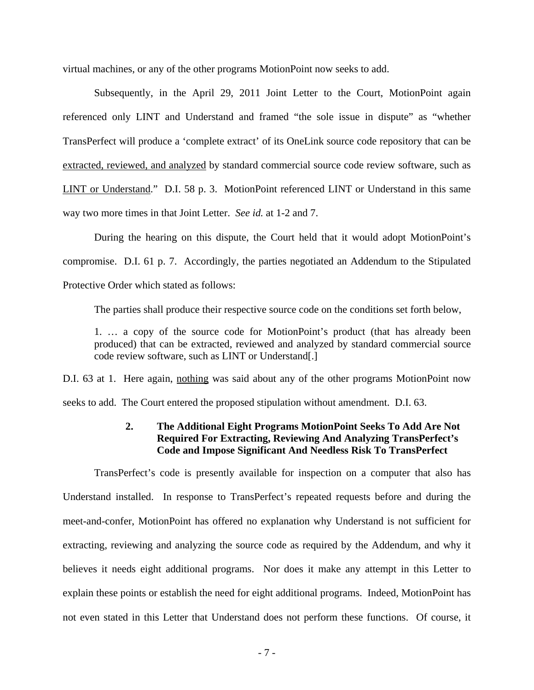virtual machines, or any of the other programs MotionPoint now seeks to add.

Subsequently, in the April 29, 2011 Joint Letter to the Court, MotionPoint again referenced only LINT and Understand and framed "the sole issue in dispute" as "whether TransPerfect will produce a 'complete extract' of its OneLink source code repository that can be extracted, reviewed, and analyzed by standard commercial source code review software, such as LINT or Understand." D.I. 58 p. 3. MotionPoint referenced LINT or Understand in this same way two more times in that Joint Letter. *See id.* at 1-2 and 7.

During the hearing on this dispute, the Court held that it would adopt MotionPoint's compromise. D.I. 61 p. 7. Accordingly, the parties negotiated an Addendum to the Stipulated Protective Order which stated as follows:

The parties shall produce their respective source code on the conditions set forth below,

1. … a copy of the source code for MotionPoint's product (that has already been produced) that can be extracted, reviewed and analyzed by standard commercial source code review software, such as LINT or Understand[.]

D.I. 63 at 1. Here again, nothing was said about any of the other programs MotionPoint now seeks to add. The Court entered the proposed stipulation without amendment. D.I. 63.

# **2. The Additional Eight Programs MotionPoint Seeks To Add Are Not Required For Extracting, Reviewing And Analyzing TransPerfect's Code and Impose Significant And Needless Risk To TransPerfect**

TransPerfect's code is presently available for inspection on a computer that also has Understand installed. In response to TransPerfect's repeated requests before and during the meet-and-confer, MotionPoint has offered no explanation why Understand is not sufficient for extracting, reviewing and analyzing the source code as required by the Addendum, and why it believes it needs eight additional programs. Nor does it make any attempt in this Letter to explain these points or establish the need for eight additional programs. Indeed, MotionPoint has not even stated in this Letter that Understand does not perform these functions. Of course, it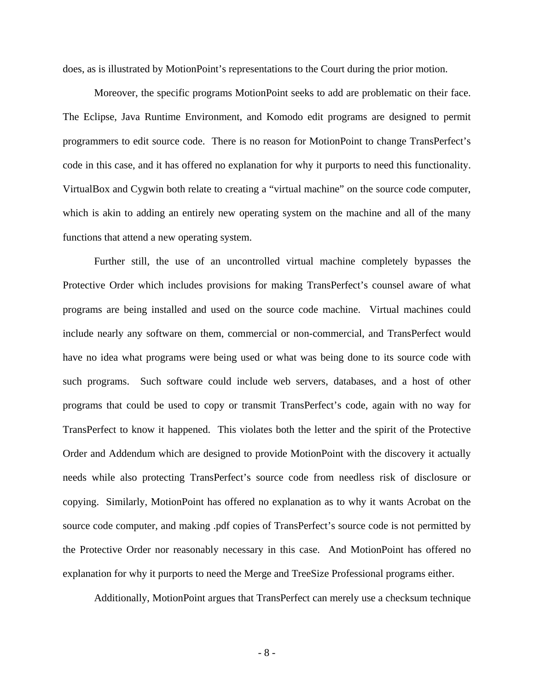does, as is illustrated by MotionPoint's representations to the Court during the prior motion.

Moreover, the specific programs MotionPoint seeks to add are problematic on their face. The Eclipse, Java Runtime Environment, and Komodo edit programs are designed to permit programmers to edit source code. There is no reason for MotionPoint to change TransPerfect's code in this case, and it has offered no explanation for why it purports to need this functionality. VirtualBox and Cygwin both relate to creating a "virtual machine" on the source code computer, which is akin to adding an entirely new operating system on the machine and all of the many functions that attend a new operating system.

Further still, the use of an uncontrolled virtual machine completely bypasses the Protective Order which includes provisions for making TransPerfect's counsel aware of what programs are being installed and used on the source code machine. Virtual machines could include nearly any software on them, commercial or non-commercial, and TransPerfect would have no idea what programs were being used or what was being done to its source code with such programs. Such software could include web servers, databases, and a host of other programs that could be used to copy or transmit TransPerfect's code, again with no way for TransPerfect to know it happened. This violates both the letter and the spirit of the Protective Order and Addendum which are designed to provide MotionPoint with the discovery it actually needs while also protecting TransPerfect's source code from needless risk of disclosure or copying. Similarly, MotionPoint has offered no explanation as to why it wants Acrobat on the source code computer, and making .pdf copies of TransPerfect's source code is not permitted by the Protective Order nor reasonably necessary in this case. And MotionPoint has offered no explanation for why it purports to need the Merge and TreeSize Professional programs either.

Additionally, MotionPoint argues that TransPerfect can merely use a checksum technique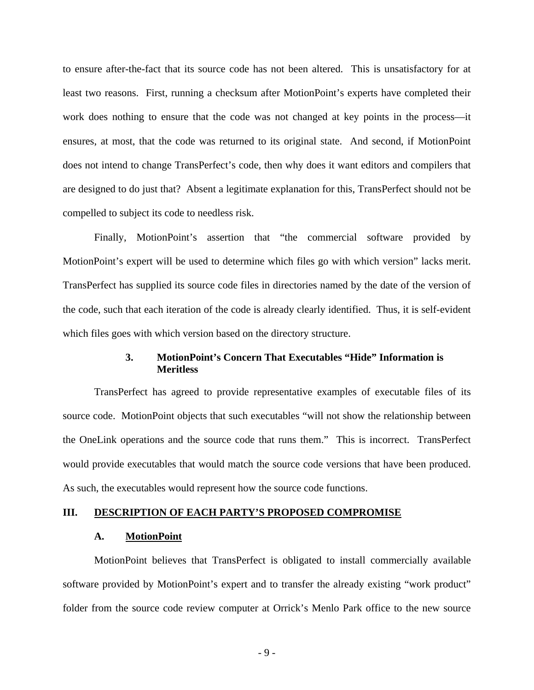to ensure after-the-fact that its source code has not been altered. This is unsatisfactory for at least two reasons. First, running a checksum after MotionPoint's experts have completed their work does nothing to ensure that the code was not changed at key points in the process—it ensures, at most, that the code was returned to its original state. And second, if MotionPoint does not intend to change TransPerfect's code, then why does it want editors and compilers that are designed to do just that? Absent a legitimate explanation for this, TransPerfect should not be compelled to subject its code to needless risk.

Finally, MotionPoint's assertion that "the commercial software provided by MotionPoint's expert will be used to determine which files go with which version" lacks merit. TransPerfect has supplied its source code files in directories named by the date of the version of the code, such that each iteration of the code is already clearly identified. Thus, it is self-evident which files goes with which version based on the directory structure.

## **3. MotionPoint's Concern That Executables "Hide" Information is Meritless**

TransPerfect has agreed to provide representative examples of executable files of its source code. MotionPoint objects that such executables "will not show the relationship between the OneLink operations and the source code that runs them." This is incorrect. TransPerfect would provide executables that would match the source code versions that have been produced. As such, the executables would represent how the source code functions.

### **III. DESCRIPTION OF EACH PARTY'S PROPOSED COMPROMISE**

### **A. MotionPoint**

 MotionPoint believes that TransPerfect is obligated to install commercially available software provided by MotionPoint's expert and to transfer the already existing "work product" folder from the source code review computer at Orrick's Menlo Park office to the new source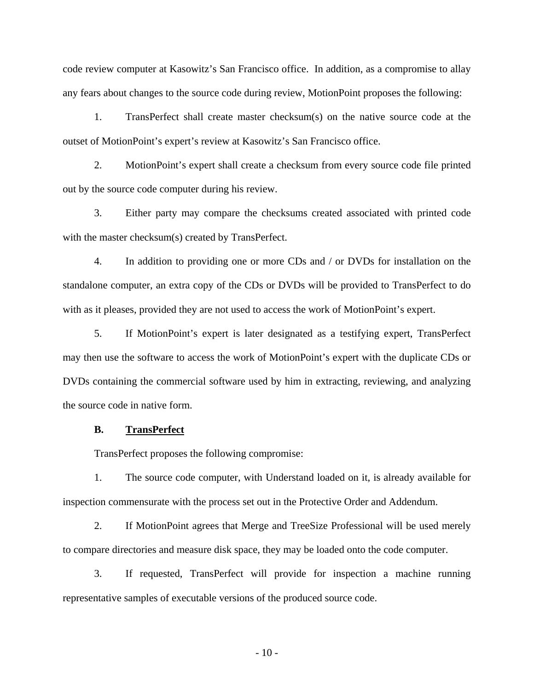code review computer at Kasowitz's San Francisco office. In addition, as a compromise to allay any fears about changes to the source code during review, MotionPoint proposes the following:

1. TransPerfect shall create master checksum(s) on the native source code at the outset of MotionPoint's expert's review at Kasowitz's San Francisco office.

2. MotionPoint's expert shall create a checksum from every source code file printed out by the source code computer during his review.

3. Either party may compare the checksums created associated with printed code with the master checksum(s) created by TransPerfect.

4. In addition to providing one or more CDs and / or DVDs for installation on the standalone computer, an extra copy of the CDs or DVDs will be provided to TransPerfect to do with as it pleases, provided they are not used to access the work of MotionPoint's expert.

5. If MotionPoint's expert is later designated as a testifying expert, TransPerfect may then use the software to access the work of MotionPoint's expert with the duplicate CDs or DVDs containing the commercial software used by him in extracting, reviewing, and analyzing the source code in native form.

#### **B. TransPerfect**

TransPerfect proposes the following compromise:

1. The source code computer, with Understand loaded on it, is already available for inspection commensurate with the process set out in the Protective Order and Addendum.

2. If MotionPoint agrees that Merge and TreeSize Professional will be used merely to compare directories and measure disk space, they may be loaded onto the code computer.

3. If requested, TransPerfect will provide for inspection a machine running representative samples of executable versions of the produced source code.

 $-10-$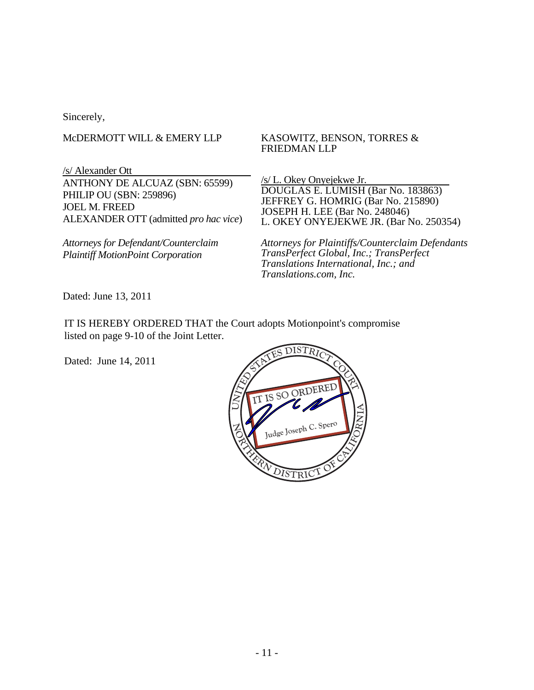Sincerely,

# McDERMOTT WILL & EMERY LLP

/s/ Alexander Ott ANTHONY DE ALCUAZ (SBN: 65599) PHILIP OU (SBN: 259896) JOEL M. FREED ALEXANDER OTT (admitted *pro hac vice*)

*Attorneys for Defendant/Counterclaim Plaintiff MotionPoint Corporation* 

## KASOWITZ, BENSON, TORRES & FRIEDMAN LLP

/s/ L. Okey Onyejekwe Jr. DOUGLAS E. LUMISH (Bar No. 183863) JEFFREY G. HOMRIG (Bar No. 215890) JOSEPH H. LEE (Bar No. 248046) L. OKEY ONYEJEKWE JR. (Bar No. 250354)

*Attorneys for Plaintiffs/Counterclaim Defendants TransPerfect Global, Inc.; TransPerfect Translations International, Inc.; and Translations.com, Inc.* 

Dated: June 13, 2011

IT IS HEREBY ORDERED THAT the Court adopts Motionpoint's compromise listed on page 9-10 of the Joint Letter.

Dated: June 14, 2011